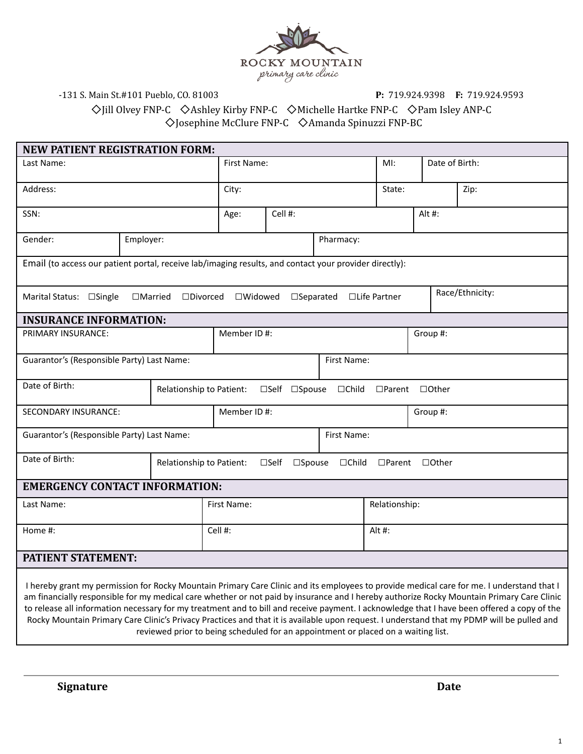

-131 S. Main St.#101 Pueblo, CO. 81003 **P:** 719.924.9398 **F:** 719.924.9593

◇Jill Olvey FNP-C ◇Ashley Kirby FNP-C ◇Michelle Hartke FNP-C ◇Pam Isley ANP-C ◇Josephine McClure FNP-C ◇Amanda Spinuzzi FNP-BC

| <b>NEW PATIENT REGISTRATION FORM:</b>                                                                                                     |           |                                               |             |                 |  |  |          |                          |                            |                 |  |      |
|-------------------------------------------------------------------------------------------------------------------------------------------|-----------|-----------------------------------------------|-------------|-----------------|--|--|----------|--------------------------|----------------------------|-----------------|--|------|
| Last Name:                                                                                                                                |           |                                               |             | First Name:     |  |  |          |                          | $M!$ :                     | Date of Birth:  |  |      |
| Address:                                                                                                                                  |           |                                               | City:       |                 |  |  |          |                          | State:                     |                 |  | Zip: |
| SSN:                                                                                                                                      |           |                                               |             | Cell #:<br>Age: |  |  |          | Alt#:                    |                            |                 |  |      |
| Gender:                                                                                                                                   | Employer: |                                               |             |                 |  |  |          | Pharmacy:                |                            |                 |  |      |
| Email (to access our patient portal, receive lab/imaging results, and contact your provider directly):                                    |           |                                               |             |                 |  |  |          |                          |                            |                 |  |      |
| Marital Status: □Single                                                                                                                   |           | $\Box$ Married $\Box$ Divorced $\Box$ Widowed |             |                 |  |  |          | □Separated □Life Partner |                            | Race/Ethnicity: |  |      |
| <b>INSURANCE INFORMATION:</b>                                                                                                             |           |                                               |             |                 |  |  |          |                          |                            |                 |  |      |
| PRIMARY INSURANCE:                                                                                                                        |           |                                               |             | Member ID#:     |  |  |          | Group #:                 |                            |                 |  |      |
| Guarantor's (Responsible Party) Last Name:                                                                                                |           |                                               | First Name: |                 |  |  |          |                          |                            |                 |  |      |
| Date of Birth:                                                                                                                            |           | Relationship to Patient: □Self □Spouse        |             |                 |  |  |          | $\Box$ Child             | $\Box$ Parent $\Box$ Other |                 |  |      |
| <b>SECONDARY INSURANCE:</b>                                                                                                               |           |                                               | Member ID#: |                 |  |  | Group #: |                          |                            |                 |  |      |
| Guarantor's (Responsible Party) Last Name:                                                                                                |           |                                               |             | First Name:     |  |  |          |                          |                            |                 |  |      |
| Date of Birth:<br>Relationship to Patient: □Self<br>$\square$ Spouse<br>□Child □Parent □Other                                             |           |                                               |             |                 |  |  |          |                          |                            |                 |  |      |
| <b>EMERGENCY CONTACT INFORMATION:</b>                                                                                                     |           |                                               |             |                 |  |  |          |                          |                            |                 |  |      |
| Last Name:                                                                                                                                |           |                                               | First Name: |                 |  |  |          |                          | Relationship:              |                 |  |      |
| Home #:                                                                                                                                   |           |                                               | Cell #:     |                 |  |  | Alt#:    |                          |                            |                 |  |      |
| <b>PATIENT STATEMENT:</b>                                                                                                                 |           |                                               |             |                 |  |  |          |                          |                            |                 |  |      |
| I hereby grant my permission for Rocky Mountain Primary Care Clinic and its employees to provide medical care for me. I understand that I |           |                                               |             |                 |  |  |          |                          |                            |                 |  |      |

am financially responsible for my medical care whether or not paid by insurance and I hereby authorize Rocky Mountain Primary Care Clinic to release all information necessary for my treatment and to bill and receive payment. I acknowledge that I have been offered a copy of the Rocky Mountain Primary Care Clinic's Privacy Practices and that it is available upon request. I understand that my PDMP will be pulled and reviewed prior to being scheduled for an appointment or placed on a waiting list.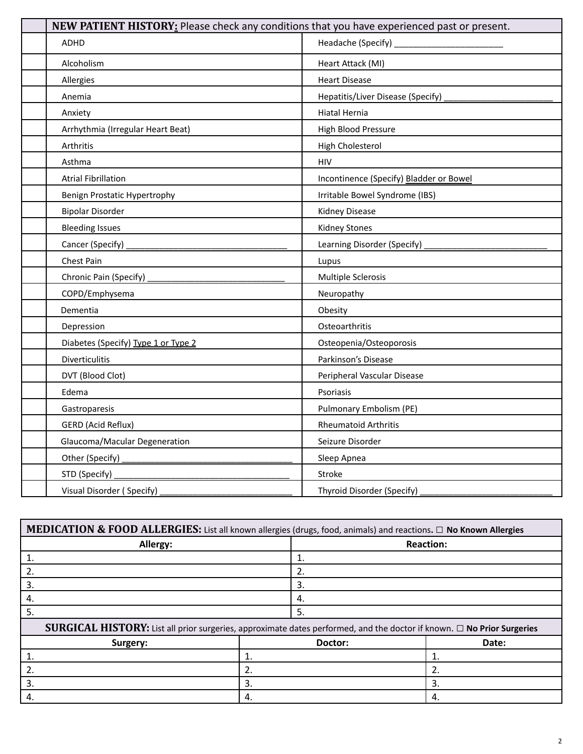| NEW PATIENT HISTORY: Please check any conditions that you have experienced past or present. |                                         |  |  |  |  |
|---------------------------------------------------------------------------------------------|-----------------------------------------|--|--|--|--|
| ADHD                                                                                        | Headache (Specify) ___________          |  |  |  |  |
| Alcoholism                                                                                  | Heart Attack (MI)                       |  |  |  |  |
| Allergies                                                                                   | <b>Heart Disease</b>                    |  |  |  |  |
| Anemia                                                                                      | Hepatitis/Liver Disease (Specify)       |  |  |  |  |
| Anxiety                                                                                     | Hiatal Hernia                           |  |  |  |  |
| Arrhythmia (Irregular Heart Beat)                                                           | High Blood Pressure                     |  |  |  |  |
| Arthritis                                                                                   | High Cholesterol                        |  |  |  |  |
| Asthma                                                                                      | <b>HIV</b>                              |  |  |  |  |
| <b>Atrial Fibrillation</b>                                                                  | Incontinence (Specify) Bladder or Bowel |  |  |  |  |
| Benign Prostatic Hypertrophy                                                                | Irritable Bowel Syndrome (IBS)          |  |  |  |  |
| <b>Bipolar Disorder</b>                                                                     | <b>Kidney Disease</b>                   |  |  |  |  |
| <b>Bleeding Issues</b>                                                                      | <b>Kidney Stones</b>                    |  |  |  |  |
| Cancer (Specify)                                                                            | Learning Disorder (Specify)             |  |  |  |  |
| Chest Pain                                                                                  | Lupus                                   |  |  |  |  |
| Chronic Pain (Specify)                                                                      | Multiple Sclerosis                      |  |  |  |  |
| COPD/Emphysema                                                                              | Neuropathy                              |  |  |  |  |
| Dementia                                                                                    | Obesity                                 |  |  |  |  |
| Depression                                                                                  | Osteoarthritis                          |  |  |  |  |
| Diabetes (Specify) Type 1 or Type 2                                                         | Osteopenia/Osteoporosis                 |  |  |  |  |
| <b>Diverticulitis</b>                                                                       | Parkinson's Disease                     |  |  |  |  |
| DVT (Blood Clot)                                                                            | Peripheral Vascular Disease             |  |  |  |  |
| Edema                                                                                       | Psoriasis                               |  |  |  |  |
| Gastroparesis                                                                               | Pulmonary Embolism (PE)                 |  |  |  |  |
| GERD (Acid Reflux)                                                                          | <b>Rheumatoid Arthritis</b>             |  |  |  |  |
| Glaucoma/Macular Degeneration                                                               | Seizure Disorder                        |  |  |  |  |
| Other (Specify) _                                                                           | Sleep Apnea                             |  |  |  |  |
| STD (Specify)                                                                               | <b>Stroke</b>                           |  |  |  |  |
| Visual Disorder (Specify)                                                                   | Thyroid Disorder (Specify)              |  |  |  |  |

| MEDICATION & FOOD ALLERGIES: List all known allergies (drugs, food, animals) and reactions. $\Box$ No Known Allergies       |    |         |                  |
|-----------------------------------------------------------------------------------------------------------------------------|----|---------|------------------|
| Allergy:                                                                                                                    |    |         | <b>Reaction:</b> |
| 1.                                                                                                                          |    | 1.      |                  |
| 2.                                                                                                                          |    | 2.      |                  |
| 3.                                                                                                                          |    | 3.      |                  |
| 4.                                                                                                                          |    | 4.      |                  |
| 5.                                                                                                                          |    | 5.      |                  |
| SURGICAL HISTORY: List all prior surgeries, approximate dates performed, and the doctor if known. $\Box$ No Prior Surgeries |    |         |                  |
| Surgery:                                                                                                                    |    | Doctor: | Date:            |
|                                                                                                                             |    |         | 1.               |
|                                                                                                                             | 2. |         | 2.               |
| 3.                                                                                                                          | 3. |         | 3.               |
| 4.                                                                                                                          | 4. |         | 4.               |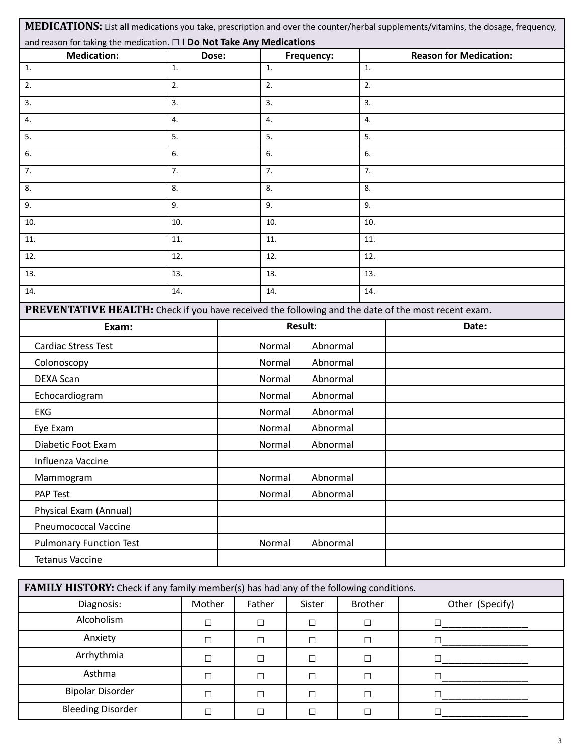|                                                                                                     |       |        |         |                 |     | MEDICATIONS: List all medications you take, prescription and over the counter/herbal supplements/vitamins, the dosage, frequency, |  |
|-----------------------------------------------------------------------------------------------------|-------|--------|---------|-----------------|-----|-----------------------------------------------------------------------------------------------------------------------------------|--|
| and reason for taking the medication. $\square$ I Do Not Take Any Medications<br><b>Medication:</b> | Dose: |        |         | Frequency:      |     | <b>Reason for Medication:</b>                                                                                                     |  |
| 1.                                                                                                  | 1.    |        | 1.      |                 | 1.  |                                                                                                                                   |  |
| 2.                                                                                                  | 2.    |        | 2.      |                 | 2.  |                                                                                                                                   |  |
| 3.                                                                                                  | 3.    | 3.     |         |                 | 3.  |                                                                                                                                   |  |
| 4.                                                                                                  | 4.    | 4.     |         |                 | 4.  |                                                                                                                                   |  |
| 5.                                                                                                  | 5.    | 5.     |         |                 | 5.  |                                                                                                                                   |  |
| 6.                                                                                                  | 6.    | 6.     |         |                 | 6.  |                                                                                                                                   |  |
| 7.                                                                                                  | 7.    | 7.     |         |                 | 7.  |                                                                                                                                   |  |
| 8.                                                                                                  | 8.    | 8.     |         |                 | 8.  |                                                                                                                                   |  |
| 9.                                                                                                  | 9.    | 9.     |         |                 | 9.  |                                                                                                                                   |  |
| 10.                                                                                                 | 10.   | 10.    |         |                 | 10. |                                                                                                                                   |  |
| 11.                                                                                                 | 11.   | 11.    |         |                 | 11. |                                                                                                                                   |  |
| 12.                                                                                                 | 12.   |        | 12.     |                 | 12. |                                                                                                                                   |  |
| 13.                                                                                                 | 13.   |        | 13.     |                 | 13. |                                                                                                                                   |  |
| 14.                                                                                                 | 14.   |        | 14.     |                 | 14. |                                                                                                                                   |  |
| PREVENTATIVE HEALTH: Check if you have received the following and the date of the most recent exam. |       |        |         |                 |     |                                                                                                                                   |  |
| Exam:                                                                                               |       |        | Result: |                 |     | Date:                                                                                                                             |  |
| <b>Cardiac Stress Test</b>                                                                          |       | Normal |         | Abnormal        |     |                                                                                                                                   |  |
| Colonoscopy                                                                                         |       | Normal |         | Abnormal        |     |                                                                                                                                   |  |
| <b>DEXA Scan</b>                                                                                    |       | Normal |         | Abnormal        |     |                                                                                                                                   |  |
| Echocardiogram                                                                                      |       | Normal |         | Abnormal        |     |                                                                                                                                   |  |
| <b>EKG</b>                                                                                          |       | Normal |         | Abnormal        |     |                                                                                                                                   |  |
| Eye Exam                                                                                            |       | Normal |         | Abnormal        |     |                                                                                                                                   |  |
| Diabetic Foot Exam                                                                                  |       |        |         | Normal Abnormal |     |                                                                                                                                   |  |
| Influenza Vaccine                                                                                   |       |        |         |                 |     |                                                                                                                                   |  |
| Mammogram                                                                                           |       | Normal |         | Abnormal        |     |                                                                                                                                   |  |
| PAP Test                                                                                            |       | Normal |         | Abnormal        |     |                                                                                                                                   |  |
| Physical Exam (Annual)                                                                              |       |        |         |                 |     |                                                                                                                                   |  |
| <b>Pneumococcal Vaccine</b>                                                                         |       |        |         |                 |     |                                                                                                                                   |  |
| <b>Pulmonary Function Test</b>                                                                      |       | Normal |         | Abnormal        |     |                                                                                                                                   |  |
| <b>Tetanus Vaccine</b>                                                                              |       |        |         |                 |     |                                                                                                                                   |  |
|                                                                                                     |       |        |         |                 |     |                                                                                                                                   |  |

| FAMILY HISTORY: Check if any family member(s) has had any of the following conditions. |                                              |  |                 |  |  |  |  |
|----------------------------------------------------------------------------------------|----------------------------------------------|--|-----------------|--|--|--|--|
| Diagnosis:                                                                             | Mother<br><b>Brother</b><br>Father<br>Sister |  | Other (Specify) |  |  |  |  |
| Alcoholism                                                                             |                                              |  |                 |  |  |  |  |
| Anxiety                                                                                |                                              |  |                 |  |  |  |  |
| Arrhythmia                                                                             |                                              |  |                 |  |  |  |  |
| Asthma                                                                                 |                                              |  |                 |  |  |  |  |
| <b>Bipolar Disorder</b>                                                                |                                              |  |                 |  |  |  |  |
| <b>Bleeding Disorder</b>                                                               |                                              |  |                 |  |  |  |  |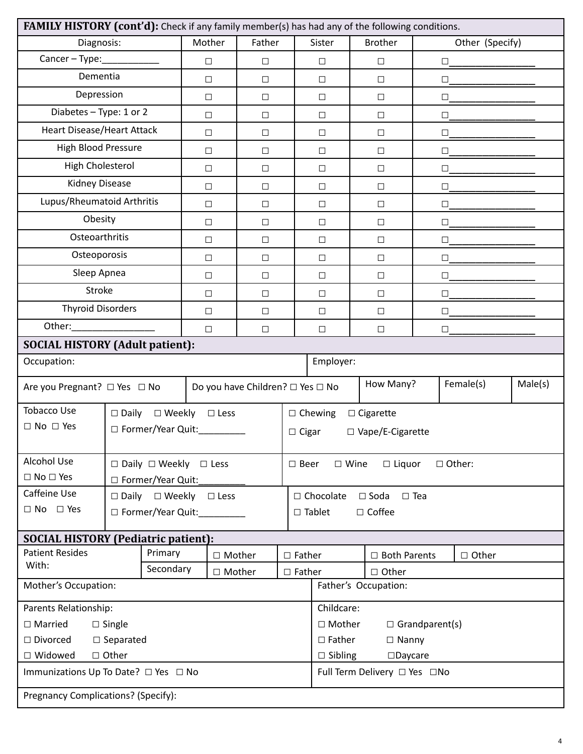| FAMILY HISTORY (cont'd): Check if any family member(s) has had any of the following conditions. |                                                 |                                  |          |                  |                                               |                                     |                                     |        |                 |         |
|-------------------------------------------------------------------------------------------------|-------------------------------------------------|----------------------------------|----------|------------------|-----------------------------------------------|-------------------------------------|-------------------------------------|--------|-----------------|---------|
| Diagnosis:                                                                                      |                                                 | Mother                           | Father   |                  | Sister                                        |                                     | <b>Brother</b>                      |        | Other (Specify) |         |
| Cancer - Type: $\frac{1}{2}$                                                                    |                                                 | $\Box$                           | $\Box$   |                  | $\Box$                                        |                                     | $\Box$                              | $\Box$ |                 |         |
| Dementia                                                                                        |                                                 | $\Box$                           | $\Box$   |                  | $\Box$                                        |                                     | $\Box$                              | $\Box$ |                 |         |
| Depression                                                                                      |                                                 | $\Box$                           | $\Box$   |                  | $\Box$                                        |                                     | $\Box$                              |        | $\Box$          |         |
| Diabetes - Type: 1 or 2                                                                         |                                                 | $\Box$                           | $\Box$   |                  | $\Box$                                        |                                     | $\Box$                              | $\Box$ |                 |         |
| <b>Heart Disease/Heart Attack</b>                                                               |                                                 | $\Box$                           | $\Box$   |                  | $\Box$                                        |                                     | $\Box$                              | $\Box$ |                 |         |
| <b>High Blood Pressure</b>                                                                      |                                                 | $\Box$                           | $\Box$   |                  | $\Box$                                        |                                     | $\Box$                              | $\Box$ |                 |         |
| High Cholesterol                                                                                |                                                 | $\Box$                           | $\Box$   |                  | $\Box$                                        |                                     | $\Box$                              | $\Box$ |                 |         |
| Kidney Disease                                                                                  |                                                 | $\Box$                           | $\Box$   |                  | $\Box$                                        |                                     | $\Box$                              | $\Box$ |                 |         |
| Lupus/Rheumatoid Arthritis                                                                      |                                                 | $\Box$                           | $\Box$   |                  | $\Box$                                        |                                     | $\Box$                              | $\Box$ |                 |         |
| Obesity                                                                                         |                                                 | $\Box$                           | $\Box$   |                  | $\Box$                                        |                                     | $\Box$                              | $\Box$ |                 |         |
| Osteoarthritis                                                                                  |                                                 | $\Box$                           | $\Box$   |                  | $\Box$                                        |                                     | $\Box$                              | $\Box$ |                 |         |
| Osteoporosis                                                                                    |                                                 | $\Box$                           | $\Box$   |                  | $\Box$                                        |                                     | $\Box$                              | $\Box$ |                 |         |
| Sleep Apnea                                                                                     |                                                 | $\Box$                           | $\Box$   |                  | $\Box$                                        |                                     | $\Box$                              | $\Box$ |                 |         |
| Stroke                                                                                          |                                                 | $\Box$                           | $\Box$   |                  | $\Box$                                        |                                     | $\Box$                              | $\Box$ |                 |         |
| <b>Thyroid Disorders</b>                                                                        |                                                 | $\Box$                           | $\Box$   |                  | $\Box$                                        |                                     | $\Box$                              | $\Box$ |                 |         |
|                                                                                                 |                                                 | $\Box$                           | $\Box$   |                  | $\Box$                                        |                                     | $\Box$                              | $\Box$ |                 |         |
| <b>SOCIAL HISTORY (Adult patient):</b>                                                          |                                                 |                                  |          |                  |                                               |                                     |                                     |        |                 |         |
| Occupation:                                                                                     |                                                 |                                  |          |                  | Employer:                                     |                                     |                                     |        |                 |         |
| Are you Pregnant? □ Yes □ No                                                                    |                                                 | Do you have Children? □ Yes □ No |          |                  |                                               |                                     | How Many?<br>Female(s)              |        |                 | Male(s) |
| <b>Tobacco Use</b>                                                                              | $\square$ Daily $\square$ Weekly $\square$ Less |                                  |          |                  | $\Box$ Chewing                                |                                     | $\Box$ Cigarette                    |        |                 |         |
| $\Box$ No $\Box$ Yes                                                                            | □ Former/Year Quit:_________                    |                                  |          | $\Box$ Cigar     | □ Vape/E-Cigarette                            |                                     |                                     |        |                 |         |
| Alcohol Use                                                                                     | $\square$ Daily $\square$ Weekly $\square$ Less |                                  |          | $\square$ Beer   |                                               | $\Box$ Wine                         | $\Box$ Liquor                       |        | □ Other:        |         |
| $\square$ No $\square$ Yes                                                                      | □ Former/Year Quit:                             |                                  |          |                  |                                               |                                     |                                     |        |                 |         |
| Caffeine Use                                                                                    | $\square$ Daily $\square$ Weekly $\square$ Less |                                  |          |                  | $\Box$ Chocolate $\Box$ Soda<br>$\square$ Tea |                                     |                                     |        |                 |         |
| $\Box$ No $\Box$ Yes<br>□ Former/Year Quit:                                                     |                                                 |                                  |          |                  | $\Box$ Tablet                                 |                                     | $\Box$ Coffee                       |        |                 |         |
| <b>SOCIAL HISTORY (Pediatric patient):</b>                                                      |                                                 |                                  |          |                  |                                               |                                     |                                     |        |                 |         |
| <b>Patient Resides</b><br>With:                                                                 | Primary                                         |                                  | □ Mother | $\square$ Father |                                               |                                     | $\Box$ Both Parents<br>$\Box$ Other |        |                 |         |
| Secondary<br>□ Mother<br>Mother's Occupation:                                                   |                                                 |                                  |          | $\Box$ Father    | □ Other<br>Father's Occupation:               |                                     |                                     |        |                 |         |
| Parents Relationship:                                                                           |                                                 |                                  |          |                  |                                               | Childcare:                          |                                     |        |                 |         |
| $\Box$ Married<br>$\Box$ Single                                                                 |                                                 |                                  |          |                  | □ Mother<br>$\Box$ Grandparent(s)             |                                     |                                     |        |                 |         |
| $\Box$ Divorced<br>$\Box$ Separated                                                             |                                                 |                                  |          |                  | $\Box$ Father<br>$\Box$ Nanny                 |                                     |                                     |        |                 |         |
| $\Box$ Widowed                                                                                  | □ Other                                         |                                  |          |                  |                                               | $\Box$ Sibling<br>$\square$ Daycare |                                     |        |                 |         |
| Immunizations Up To Date? □ Yes □ No                                                            |                                                 |                                  |          |                  | Full Term Delivery □ Yes □No                  |                                     |                                     |        |                 |         |
| Pregnancy Complications? (Specify):                                                             |                                                 |                                  |          |                  |                                               |                                     |                                     |        |                 |         |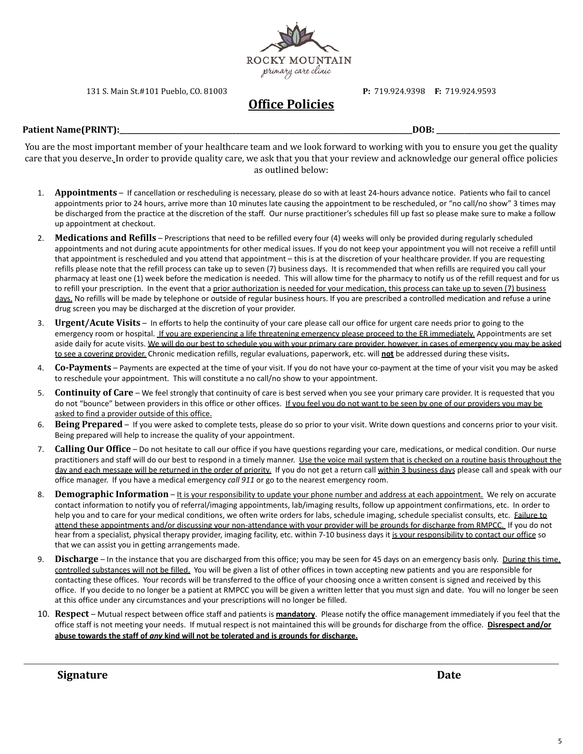

131 S. Main St.#101 Pueblo, CO. 81003 **P:** 719.924.9398 **F:** 719.924.9593

# **Office Policies**

#### **Patient Name(PRINT):\_\_\_\_\_\_\_\_\_\_\_\_\_\_\_\_\_\_\_\_\_\_\_\_\_\_\_\_\_\_\_\_\_\_\_\_\_\_\_\_\_\_\_\_\_\_\_\_\_\_\_\_\_\_\_\_\_\_\_\_\_\_\_\_\_\_\_\_\_\_\_\_\_\_\_\_\_\_\_\_\_\_\_DOB: \_\_\_\_\_\_\_\_\_\_\_\_\_\_\_\_\_\_\_\_\_\_\_\_\_\_\_\_\_\_\_\_\_\_\_**

You are the most important member of your healthcare team and we look forward to working with you to ensure you get the quality care that you deserve. In order to provide quality care, we ask that you that your review and acknowledge our general office policies as outlined below:

- 1. **Appointments** If cancellation or rescheduling is necessary, please do so with at least 24-hours advance notice. Patients who fail to cancel appointments prior to 24 hours, arrive more than 10 minutes late causing the appointment to be rescheduled, or "no call/no show" 3 times may be discharged from the practice at the discretion of the staff. Our nurse practitioner's schedules fill up fast so please make sure to make a follow up appointment at checkout.
- 2. **Medications and Refills** Prescriptions that need to be refilled every four (4) weeks will only be provided during regularly scheduled appointments and not during acute appointments for other medical issues. If you do not keep your appointment you will not receive a refill until that appointment is rescheduled and you attend that appointment – this is at the discretion of your healthcare provider. If you are requesting refills please note that the refill process can take up to seven (7) business days. It is recommended that when refills are required you call your pharmacy at least one (1) week before the medication is needed. This will allow time for the pharmacy to notify us of the refill request and for us to refill your prescription. In the event that a prior authorization is needed for your medication, this process can take up to seven (7) business days. No refills will be made by telephone or outside of regular business hours. If you are prescribed a controlled medication and refuse a urine drug screen you may be discharged at the discretion of your provider.
- 3. **Urgent/Acute Visits** In efforts to help the continuity of your care please call our office for urgent care needs prior to going to the emergency room or hospital. If you are experiencing a life threatening emergency please proceed to the ER immediately. Appointments are set aside daily for acute visits. We will do our best to schedule you with your primary care provider, however, in cases of emergency you may be asked to see a covering provider. Chronic medication refills, regular evaluations, paperwork, etc. will **not** be addressed during these visits**.**
- 4. **Co-Payments** Payments are expected at the time of your visit. If you do not have your co-payment at the time of your visit you may be asked to reschedule your appointment. This will constitute a no call/no show to your appointment.
- 5. **Continuity of Care** We feel strongly that continuity of care is best served when you see your primary care provider. It is requested that you do not "bounce" between providers in this office or other offices. If you feel you do not want to be seen by one of our providers you may be asked to find a provider outside of this office.
- 6. **Being Prepared** If you were asked to complete tests, please do so prior to your visit. Write down questions and concerns prior to your visit. Being prepared will help to increase the quality of your appointment.
- 7. **Calling Our Office** Do not hesitate to call our office if you have questions regarding your care, medications, or medical condition. Our nurse practitioners and staff will do our best to respond in a timely manner. Use the voice mail system that is checked on a routine basis throughout the day and each message will be returned in the order of priority. If you do not get a return call within 3 business days please call and speak with our office manager. If you have a medical emergency *call 911* or go to the nearest emergency room.
- 8. **Demographic Information** It is your responsibility to update your phone number and address at each appointment. We rely on accurate contact information to notify you of referral/imaging appointments, lab/imaging results, follow up appointment confirmations, etc. In order to help you and to care for your medical conditions, we often write orders for labs, schedule imaging, schedule specialist consults, etc. Failure to attend these appointments and/or discussing your non-attendance with your provider will be grounds for discharge from RMPCC. If you do not hear from a specialist, physical therapy provider, imaging facility, etc. within 7-10 business days it is your responsibility to contact our office so that we can assist you in getting arrangements made.
- 9. **Discharge** In the instance that you are discharged from this office; you may be seen for 45 days on an emergency basis only. During this time, controlled substances will not be filled. You will be given a list of other offices in town accepting new patients and you are responsible for contacting these offices. Your records will be transferred to the office of your choosing once a written consent is signed and received by this office. If you decide to no longer be a patient at RMPCC you will be given a written letter that you must sign and date. You will no longer be seen at this office under any circumstances and your prescriptions will no longer be filled.
- 10. **Respect** Mutual respect between office staff and patients is **mandatory**. Please notify the office management immediately if you feel that the office staff is not meeting your needs. If mutual respect is not maintained this will be grounds for discharge from the office. **Disrespect and/or abuse towards the staff of** *any* **kind will not be tolerated and is grounds for discharge.**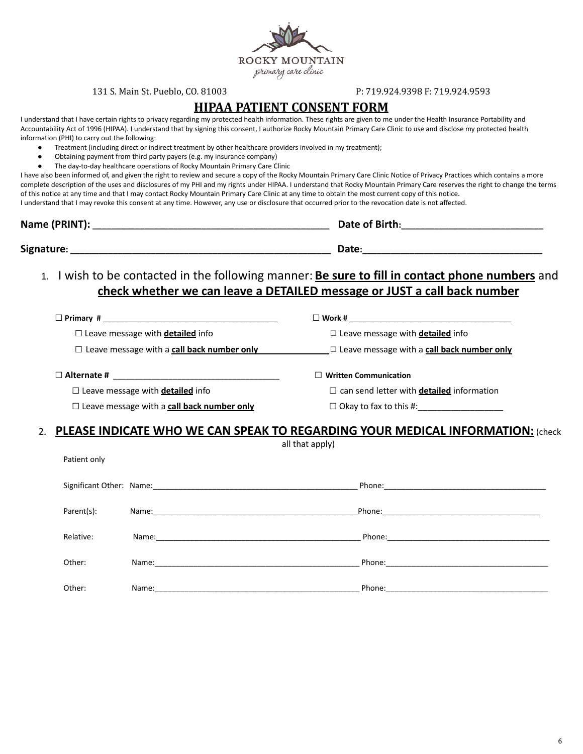ROCKY MOUNTAIN primary care clinic

#### 131 S. Main St. Pueblo, CO. 81003 P: 719.924.9398 F: 719.924.9593

### **HIPAA PATIENT CONSENT FORM**

I understand that I have certain rights to privacy regarding my protected health information. These rights are given to me under the Health Insurance Portability and Accountability Act of 1996 (HIPAA). I understand that by signing this consent, I authorize Rocky Mountain Primary Care Clinic to use and disclose my protected health information (PHI) to carry out the following:

- Treatment (including direct or indirect treatment by other healthcare providers involved in my treatment);
- Obtaining payment from third party payers (e.g. my insurance company)
- The day-to-day healthcare operations of Rocky Mountain Primary Care Clinic

I have also been informed of, and given the right to review and secure a copy of the Rocky Mountain Primary Care Clinic Notice of Privacy Practices which contains a more complete description of the uses and disclosures of my PHI and my rights under HIPAA. I understand that Rocky Mountain Primary Care reserves the right to change the terms of this notice at any time and that I may contact Rocky Mountain Primary Care Clinic at any time to obtain the most current copy of this notice.

I understand that I may revoke this consent at any time. However, any use or disclosure that occurred prior to the revocation date is not affected.

| Name (PRINT): | Date of Birth: |
|---------------|----------------|
| Signature:    | Date:          |

1. I wish to be contacted in the following manner: **Be sure to fill in contact phone numbers** and **check whether we can leave a DETAILED message or JUST a call back number**

| $\Box$ Primary #<br><u> 1980 - Jan Barat, Amerikaansk politiker (</u> † 1920) | $\Box$ Work #                                           |
|-------------------------------------------------------------------------------|---------------------------------------------------------|
| $\Box$ Leave message with <b>detailed</b> info                                | $\Box$ Leave message with <b>detailed</b> info          |
| $\Box$ Leave message with a call back number only                             | $\square$ Leave message with a call back number only    |
| $\Box$ Alternate #                                                            | $\Box$ Written Communication                            |
| $\Box$ Leave message with <b>detailed</b> info                                | $\Box$ can send letter with <b>detailed</b> information |

Patient only

| $\Box$ can send letter with <b>detailed</b> information |  |
|---------------------------------------------------------|--|
|---------------------------------------------------------|--|

□ Leave message with a **call back number only** □ Okay to fax to this #:\_\_\_\_\_\_\_\_\_\_\_\_\_\_\_\_\_\_

## 2. **PLEASE INDICATE WHO WE CAN SPEAK TO REGARDING YOUR MEDICAL INFORMATION:** (check

all that apply)

| Parent(s): |       |                                 |
|------------|-------|---------------------------------|
| Relative:  |       |                                 |
| Other:     | Name: | Phone: ________________________ |
| Other:     | Name: | Phone:                          |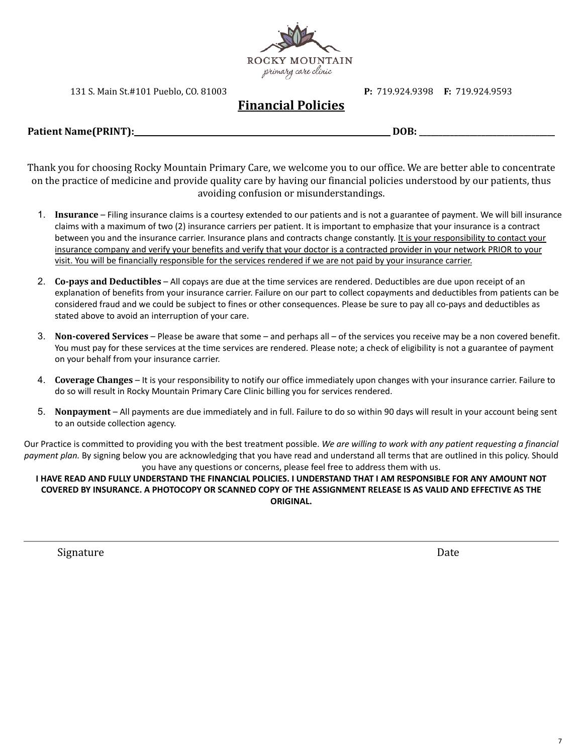

131 S. Main St.#101 Pueblo, CO. 81003 **P:** 719.924.9398 **F:** 719.924.9593

# **Financial Policies**

**Patient Name(PRINT):\_\_\_\_\_\_\_\_\_\_\_\_\_\_\_\_\_\_\_\_\_\_\_\_\_\_\_\_\_\_\_\_\_\_\_\_\_\_\_\_\_\_\_\_\_\_\_\_\_\_\_\_\_\_\_\_\_\_\_\_\_\_\_\_\_\_ DOB: \_\_\_\_\_\_\_\_\_\_\_\_\_\_\_\_\_\_\_\_\_\_\_\_\_\_\_\_\_\_\_\_\_\_\_**

Thank you for choosing Rocky Mountain Primary Care, we welcome you to our office. We are better able to concentrate on the practice of medicine and provide quality care by having our financial policies understood by our patients, thus avoiding confusion or misunderstandings.

- 1. **Insurance** Filing insurance claims is a courtesy extended to our patients and is not a guarantee of payment. We will bill insurance claims with a maximum of two (2) insurance carriers per patient. It is important to emphasize that your insurance is a contract between you and the insurance carrier. Insurance plans and contracts change constantly. It is your responsibility to contact your insurance company and verify your benefits and verify that your doctor is a contracted provider in your network PRIOR to your visit. You will be financially responsible for the services rendered if we are not paid by your insurance carrier.
- 2. **Co-pays and Deductibles** All copays are due at the time services are rendered. Deductibles are due upon receipt of an explanation of benefits from your insurance carrier. Failure on our part to collect copayments and deductibles from patients can be considered fraud and we could be subject to fines or other consequences. Please be sure to pay all co-pays and deductibles as stated above to avoid an interruption of your care.
- 3. **Non-covered Services** Please be aware that some and perhaps all of the services you receive may be a non covered benefit. You must pay for these services at the time services are rendered. Please note; a check of eligibility is not a guarantee of payment on your behalf from your insurance carrier.
- 4. **Coverage Changes** It is your responsibility to notify our office immediately upon changes with your insurance carrier. Failure to do so will result in Rocky Mountain Primary Care Clinic billing you for services rendered.
- 5. **Nonpayment** All payments are due immediately and in full. Failure to do so within 90 days will result in your account being sent to an outside collection agency.

Our Practice is committed to providing you with the best treatment possible. *We are willing to work with any patient requesting a financial payment plan.* By signing below you are acknowledging that you have read and understand all terms that are outlined in this policy. Should you have any questions or concerns, please feel free to address them with us.

### I HAVE READ AND FULLY UNDERSTAND THE FINANCIAL POLICIES. I UNDERSTAND THAT I AM RESPONSIBLE FOR ANY AMOUNT NOT COVERED BY INSURANCE. A PHOTOCOPY OR SCANNED COPY OF THE ASSIGNMENT RELEASE IS AS VALID AND EFFECTIVE AS THE **ORIGINAL.**

Signature Date Date by Contracting Science of the Date Date Date Date Date